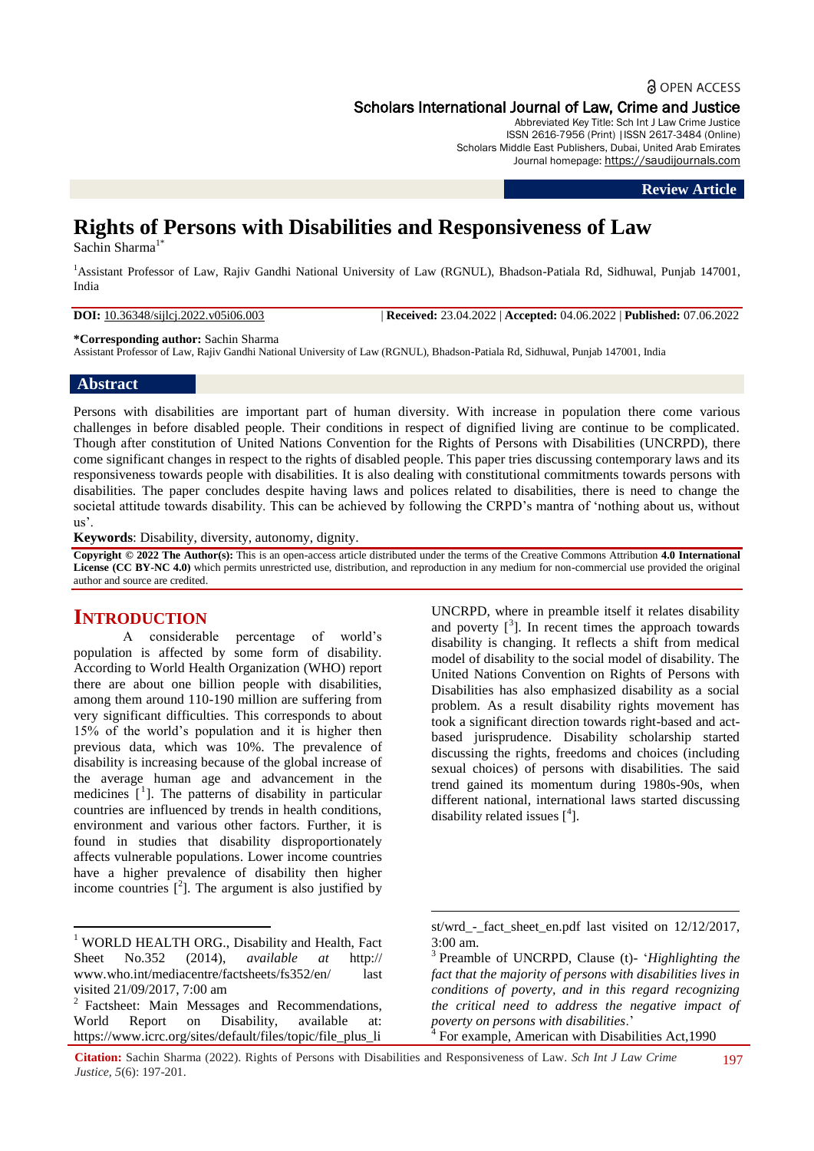# **a** OPEN ACCESS Scholars International Journal of Law, Crime and Justice

Abbreviated Key Title: Sch Int J Law Crime Justice ISSN 2616-7956 (Print) |ISSN 2617-3484 (Online) Scholars Middle East Publishers, Dubai, United Arab Emirates Journal homepage: https://saudijournals.com

#### **Review Article**

# **Rights of Persons with Disabilities and Responsiveness of Law**

Sachin Sharma<sup>1</sup>

<sup>1</sup>Assistant Professor of Law, Rajiv Gandhi National University of Law (RGNUL), Bhadson-Patiala Rd, Sidhuwal, Punjab 147001, India

**DOI:** 10.36348/sijlcj.2022.v05i06.003 | **Received:** 23.04.2022 | **Accepted:** 04.06.2022 | **Published:** 07.06.2022

**\*Corresponding author:** Sachin Sharma

Assistant Professor of Law, Rajiv Gandhi National University of Law (RGNUL), Bhadson-Patiala Rd, Sidhuwal, Punjab 147001, India

## **Abstract**

Persons with disabilities are important part of human diversity. With increase in population there come various challenges in before disabled people. Their conditions in respect of dignified living are continue to be complicated. Though after constitution of United Nations Convention for the Rights of Persons with Disabilities (UNCRPD), there come significant changes in respect to the rights of disabled people. This paper tries discussing contemporary laws and its responsiveness towards people with disabilities. It is also dealing with constitutional commitments towards persons with disabilities. The paper concludes despite having laws and polices related to disabilities, there is need to change the societal attitude towards disability. This can be achieved by following the CRPD's mantra of 'nothing about us, without us".

**Keywords**: Disability, diversity, autonomy, dignity.

**Copyright © 2022 The Author(s):** This is an open-access article distributed under the terms of the Creative Commons Attribution **4.0 International License (CC BY-NC 4.0)** which permits unrestricted use, distribution, and reproduction in any medium for non-commercial use provided the original author and source are credited.

# **INTRODUCTION**

**.** 

A considerable percentage of world"s population is affected by some form of disability. According to World Health Organization (WHO) report there are about one billion people with disabilities, among them around 110-190 million are suffering from very significant difficulties. This corresponds to about 15% of the world"s population and it is higher then previous data, which was 10%. The prevalence of disability is increasing because of the global increase of the average human age and advancement in the medicines  $\left[ \begin{matrix} 1 \end{matrix} \right]$ . The patterns of disability in particular countries are influenced by trends in health conditions, environment and various other factors. Further, it is found in studies that disability disproportionately affects vulnerable populations. Lower income countries have a higher prevalence of disability then higher income countries  $[2]$ . The argument is also justified by

<sup>1</sup> WORLD HEALTH ORG., Disability and Health, Fact Sheet No.352 (2014), *available at* http:// [www.who.int/mediacentre/factsheets/fs352/en/](http://www.who.int/mediacentre/factsheets/fs352/en/) last visited 21/09/2017, 7:00 am

<sup>2</sup> Factsheet: Main Messages and Recommendations, World Report on Disability, available at: [https://www.icrc.org/sites/default/files/topic/file\\_plus\\_li](https://www.icrc.org/sites/default/files/topic/file_plus_list/wrd_-_fact_sheet_en.pdf)

UNCRPD, where in preamble itself it relates disability and poverty  $[3]$ . In recent times the approach towards disability is changing. It reflects a shift from medical model of disability to the social model of disability. The United Nations Convention on Rights of Persons with Disabilities has also emphasized disability as a social problem. As a result disability rights movement has took a significant direction towards right-based and actbased jurisprudence. Disability scholarship started discussing the rights, freedoms and choices (including sexual choices) of persons with disabilities. The said trend gained its momentum during 1980s-90s, when different national, international laws started discussing disability related issues  $[$ <sup>4</sup> $].$ 

 $\overline{a}$ 

st/wrd - fact sheet en.pdf last visited on 12/12/2017, 3:00 am.

<sup>3</sup> Preamble of UNCRPD, Clause (t)- "*Highlighting the fact that the majority of persons with disabilities lives in conditions of poverty, and in this regard recognizing the critical need to address the negative impact of poverty on persons with disabilities.*"<br><sup>4</sup> For example, American with Disabi

For example, American with Disabilities Act,1990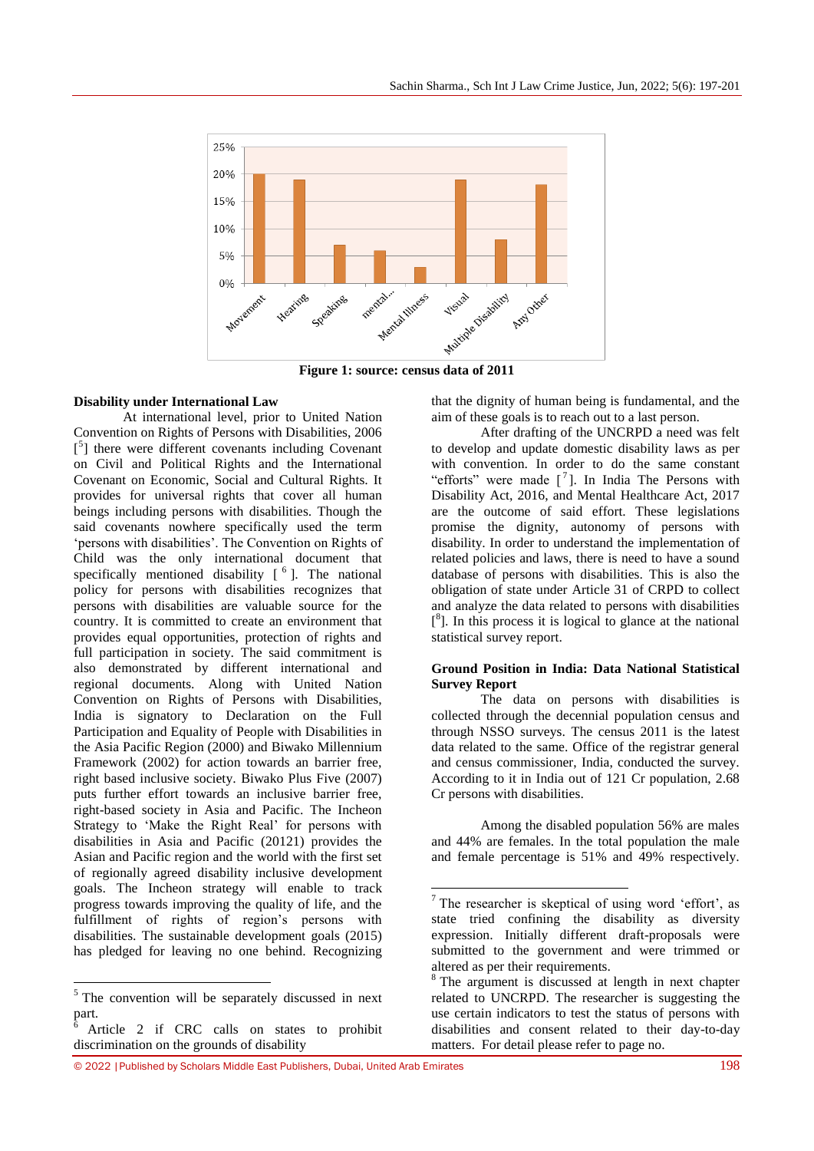

1

### **Disability under International Law**

At international level, prior to United Nation Convention on Rights of Persons with Disabilities, 2006 [<sup>5</sup>] there were different covenants including Covenant on Civil and Political Rights and the International Covenant on Economic, Social and Cultural Rights. It provides for universal rights that cover all human beings including persons with disabilities. Though the said covenants nowhere specifically used the term 'persons with disabilities'. The Convention on Rights of Child was the only international document that specifically mentioned disability  $[6]$ . The national policy for persons with disabilities recognizes that persons with disabilities are valuable source for the country. It is committed to create an environment that provides equal opportunities, protection of rights and full participation in society. The said commitment is also demonstrated by different international and regional documents. Along with United Nation Convention on Rights of Persons with Disabilities, India is signatory to Declaration on the Full Participation and Equality of People with Disabilities in the Asia Pacific Region (2000) and Biwako Millennium Framework (2002) for action towards an barrier free, right based inclusive society. Biwako Plus Five (2007) puts further effort towards an inclusive barrier free, right-based society in Asia and Pacific. The Incheon Strategy to 'Make the Right Real' for persons with disabilities in Asia and Pacific (20121) provides the Asian and Pacific region and the world with the first set of regionally agreed disability inclusive development goals. The Incheon strategy will enable to track progress towards improving the quality of life, and the fulfillment of rights of region's persons with disabilities. The sustainable development goals (2015) has pledged for leaving no one behind. Recognizing

**.** 

that the dignity of human being is fundamental, and the aim of these goals is to reach out to a last person.

After drafting of the UNCRPD a need was felt to develop and update domestic disability laws as per with convention. In order to do the same constant "efforts" were made  $\begin{bmatrix} 7 \end{bmatrix}$ . In India The Persons with Disability Act, 2016, and Mental Healthcare Act, 2017 are the outcome of said effort. These legislations promise the dignity, autonomy of persons with disability. In order to understand the implementation of related policies and laws, there is need to have a sound database of persons with disabilities. This is also the obligation of state under Article 31 of CRPD to collect and analyze the data related to persons with disabilities  $[$ <sup>8</sup>]. In this process it is logical to glance at the national statistical survey report.

#### **Ground Position in India: Data National Statistical Survey Report**

The data on persons with disabilities is collected through the decennial population census and through NSSO surveys. The census 2011 is the latest data related to the same. Office of the registrar general and census commissioner, India, conducted the survey. According to it in India out of 121 Cr population, 2.68 Cr persons with disabilities.

Among the disabled population 56% are males and 44% are females. In the total population the male and female percentage is 51% and 49% respectively.

<sup>&</sup>lt;sup>5</sup> The convention will be separately discussed in next part.

<sup>6</sup> Article 2 if CRC calls on states to prohibit discrimination on the grounds of disability

 $<sup>7</sup>$  The researcher is skeptical of using word 'effort', as</sup> state tried confining the disability as diversity expression. Initially different draft-proposals were submitted to the government and were trimmed or altered as per their requirements.

<sup>&</sup>lt;sup>8</sup> The argument is discussed at length in next chapter related to UNCRPD. The researcher is suggesting the use certain indicators to test the status of persons with disabilities and consent related to their day-to-day matters. For detail please refer to page no.

<sup>© 2022</sup> |Published by Scholars Middle East Publishers, Dubai, United Arab Emirates 198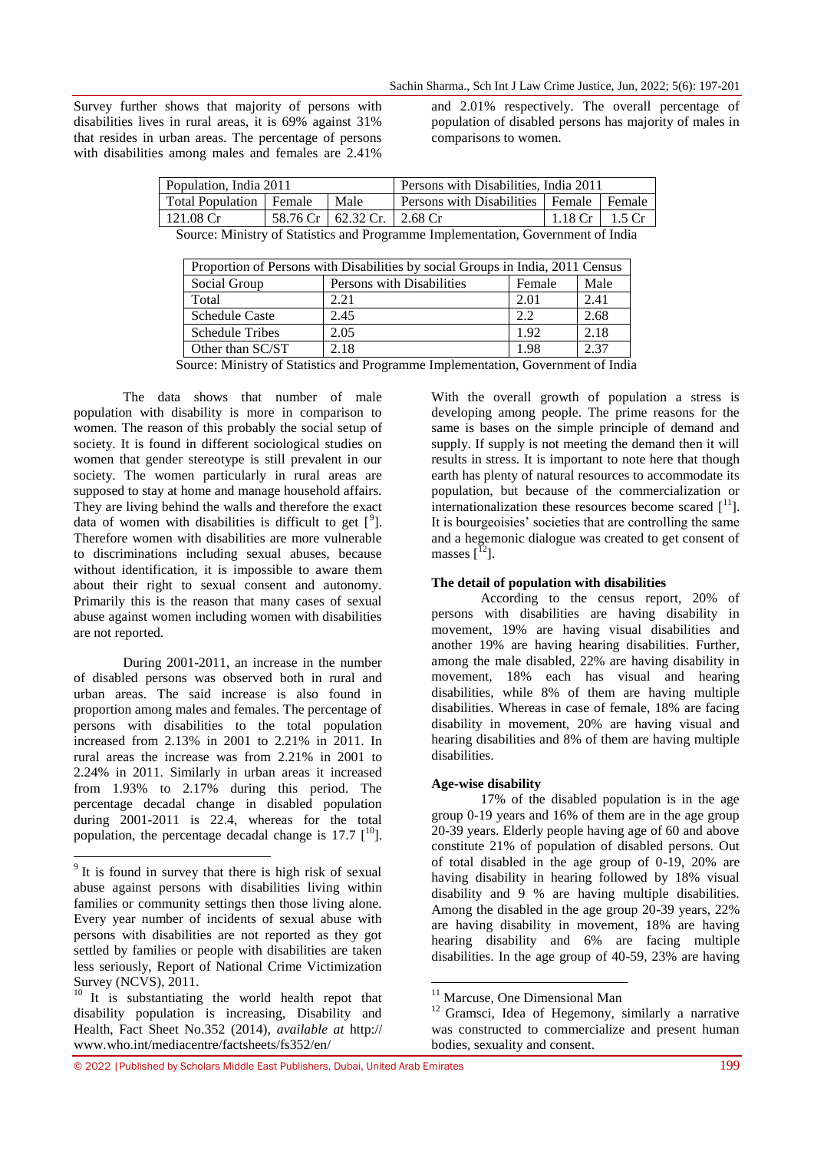Survey further shows that majority of persons with disabilities lives in rural areas, it is 69% against 31% that resides in urban areas. The percentage of persons with disabilities among males and females are 2.41%

and 2.01% respectively. The overall percentage of population of disabled persons has majority of males in comparisons to women.

| Population, India 2011                                                           |  | Persons with Disabilities, India 2011 |                                             |                  |  |
|----------------------------------------------------------------------------------|--|---------------------------------------|---------------------------------------------|------------------|--|
| Total Population   Female                                                        |  | Male                                  | Persons with Disabilities   Female   Female |                  |  |
| $121.08 \,\mathrm{Cr}$                                                           |  | 58.76 Cr   62.32 Cr.   2.68 Cr        |                                             | 1.18 Cr   1.5 Cr |  |
| Source: Ministry of Statistics and Programme Implementation, Government of India |  |                                       |                                             |                  |  |

| Proportion of Persons with Disabilities by social Groups in India, 2011 Census |                           |        |      |  |  |
|--------------------------------------------------------------------------------|---------------------------|--------|------|--|--|
| Social Group                                                                   | Persons with Disabilities | Female | Male |  |  |
| Total                                                                          | 2.21                      | 2.01   | 2.41 |  |  |
| <b>Schedule Caste</b>                                                          | 2.45                      | 22     | 2.68 |  |  |
| <b>Schedule Tribes</b>                                                         | 2.05                      | 1.92   | 2.18 |  |  |
| Other than SC/ST                                                               | 2.18                      | 1.98   | 2.37 |  |  |

Source: Ministry of Statistics and Programme Implementation, Government of India

The data shows that number of male population with disability is more in comparison to women. The reason of this probably the social setup of society. It is found in different sociological studies on women that gender stereotype is still prevalent in our society. The women particularly in rural areas are supposed to stay at home and manage household affairs. They are living behind the walls and therefore the exact data of women with disabilities is difficult to get  $[9]$ . Therefore women with disabilities are more vulnerable to discriminations including sexual abuses, because without identification, it is impossible to aware them about their right to sexual consent and autonomy. Primarily this is the reason that many cases of sexual abuse against women including women with disabilities are not reported.

During 2001-2011, an increase in the number of disabled persons was observed both in rural and urban areas. The said increase is also found in proportion among males and females. The percentage of persons with disabilities to the total population increased from 2.13% in 2001 to 2.21% in 2011. In rural areas the increase was from 2.21% in 2001 to 2.24% in 2011. Similarly in urban areas it increased from 1.93% to 2.17% during this period. The percentage decadal change in disabled population during 2001-2011 is 22.4, whereas for the total population, the percentage decadal change is 17.7  $[10]$ .

1

With the overall growth of population a stress is developing among people. The prime reasons for the same is bases on the simple principle of demand and supply. If supply is not meeting the demand then it will results in stress. It is important to note here that though earth has plenty of natural resources to accommodate its population, but because of the commercialization or internationalization these resources become scared  $[1]$ . It is bourgeoisies' societies that are controlling the same and a hegemonic dialogue was created to get consent of masses  $[$ <sup>12</sup> $].$ 

#### **The detail of population with disabilities**

According to the census report, 20% of persons with disabilities are having disability in movement, 19% are having visual disabilities and another 19% are having hearing disabilities. Further, among the male disabled, 22% are having disability in movement, 18% each has visual and hearing disabilities, while 8% of them are having multiple disabilities. Whereas in case of female, 18% are facing disability in movement, 20% are having visual and hearing disabilities and 8% of them are having multiple disabilities.

#### **Age-wise disability**

1

17% of the disabled population is in the age group 0-19 years and 16% of them are in the age group 20-39 years. Elderly people having age of 60 and above constitute 21% of population of disabled persons. Out of total disabled in the age group of 0-19, 20% are having disability in hearing followed by 18% visual disability and 9 % are having multiple disabilities. Among the disabled in the age group 20-39 years, 22% are having disability in movement, 18% are having hearing disability and 6% are facing multiple disabilities. In the age group of 40-59, 23% are having

<sup>&</sup>lt;sup>9</sup> It is found in survey that there is high risk of sexual abuse against persons with disabilities living within families or community settings then those living alone. Every year number of incidents of sexual abuse with persons with disabilities are not reported as they got settled by families or people with disabilities are taken less seriously, Report of National Crime Victimization Survey (NCVS), 2011.

<sup>&</sup>lt;sup>10</sup> It is substantiating the world health repot that disability population is increasing, Disability and Health, Fact Sheet No.352 (2014), *available at* http:// [www.who.int/mediacentre/factsheets/fs352/en/](http://www.who.int/mediacentre/factsheets/fs352/en/) 

<sup>&</sup>lt;sup>11</sup> Marcuse, One Dimensional Man

<sup>&</sup>lt;sup>12</sup> Gramsci, Idea of Hegemony, similarly a narrative was constructed to commercialize and present human bodies, sexuality and consent.

<sup>© 2022</sup> |Published by Scholars Middle East Publishers, Dubai, United Arab Emirates 199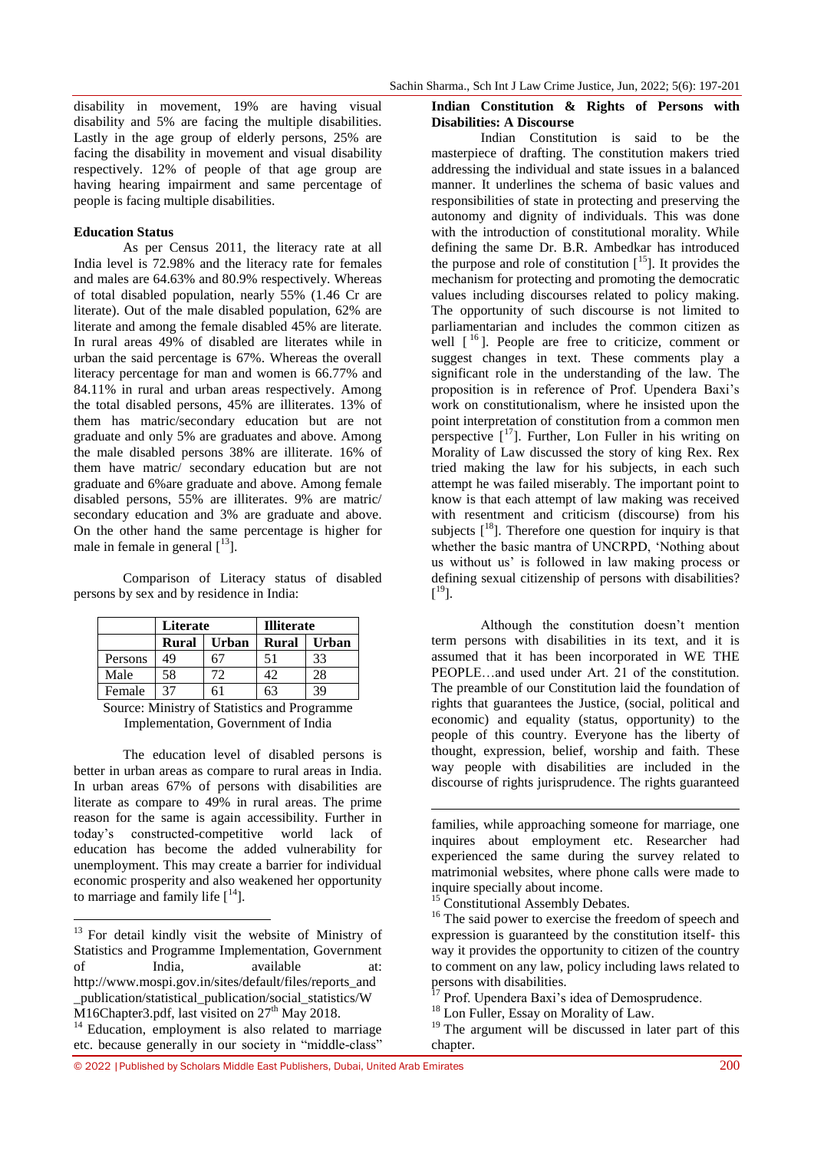disability in movement, 19% are having visual disability and 5% are facing the multiple disabilities. Lastly in the age group of elderly persons, 25% are facing the disability in movement and visual disability respectively. 12% of people of that age group are having hearing impairment and same percentage of people is facing multiple disabilities.

#### **Education Status**

As per Census 2011, the literacy rate at all India level is 72.98% and the literacy rate for females and males are 64.63% and 80.9% respectively. Whereas of total disabled population, nearly 55% (1.46 Cr are literate). Out of the male disabled population, 62% are literate and among the female disabled 45% are literate. In rural areas 49% of disabled are literates while in urban the said percentage is 67%. Whereas the overall literacy percentage for man and women is 66.77% and 84.11% in rural and urban areas respectively. Among the total disabled persons, 45% are illiterates. 13% of them has matric/secondary education but are not graduate and only 5% are graduates and above. Among the male disabled persons 38% are illiterate. 16% of them have matric/ secondary education but are not graduate and 6%are graduate and above. Among female disabled persons, 55% are illiterates. 9% are matric/ secondary education and 3% are graduate and above. On the other hand the same percentage is higher for male in female in general  $\lceil 13 \rceil$ .

| Comparison of Literacy status of disabled |  |  |  |
|-------------------------------------------|--|--|--|
| persons by sex and by residence in India: |  |  |  |

|                                                | Literate |              | <b>Illiterate</b> |              |  |
|------------------------------------------------|----------|--------------|-------------------|--------------|--|
|                                                | Rural    | <b>Urban</b> | <b>Rural</b>      | <b>Urban</b> |  |
| Persons                                        | 49       |              | 51                | 33           |  |
| Male                                           | 58       | 72           | 42                | 28           |  |
| Female                                         | 37       |              | h3                | 39           |  |
| $\sim$<br>$\sim$ $\sim$ $\sim$ $\sim$<br>- - - |          |              |                   |              |  |

Source: Ministry of Statistics and Programme Implementation, Government of India

The education level of disabled persons is better in urban areas as compare to rural areas in India. In urban areas 67% of persons with disabilities are literate as compare to 49% in rural areas. The prime reason for the same is again accessibility. Further in today"s constructed-competitive world lack of education has become the added vulnerability for unemployment. This may create a barrier for individual economic prosperity and also weakened her opportunity to marriage and family life  $[14]$ .

1

#### **Indian Constitution & Rights of Persons with Disabilities: A Discourse**

Indian Constitution is said to be the masterpiece of drafting. The constitution makers tried addressing the individual and state issues in a balanced manner. It underlines the schema of basic values and responsibilities of state in protecting and preserving the autonomy and dignity of individuals. This was done with the introduction of constitutional morality. While defining the same Dr. B.R. Ambedkar has introduced the purpose and role of constitution  $[15]$ . It provides the mechanism for protecting and promoting the democratic values including discourses related to policy making. The opportunity of such discourse is not limited to parliamentarian and includes the common citizen as well  $\lceil \frac{16}{16} \rceil$ . People are free to criticize, comment or suggest changes in text. These comments play a significant role in the understanding of the law. The proposition is in reference of Prof. Upendera Baxi's work on constitutionalism, where he insisted upon the point interpretation of constitution from a common men perspective  $[17]$ . Further, Lon Fuller in his writing on Morality of Law discussed the story of king Rex. Rex tried making the law for his subjects, in each such attempt he was failed miserably. The important point to know is that each attempt of law making was received with resentment and criticism (discourse) from his subjects  $[18]$ . Therefore one question for inquiry is that whether the basic mantra of UNCRPD, "Nothing about us without us' is followed in law making process or defining sexual citizenship of persons with disabilities?  $[$ <sup>19</sup>].

Although the constitution doesn"t mention term persons with disabilities in its text, and it is assumed that it has been incorporated in WE THE PEOPLE…and used under Art. 21 of the constitution. The preamble of our Constitution laid the foundation of rights that guarantees the Justice, (social, political and economic) and equality (status, opportunity) to the people of this country. Everyone has the liberty of thought, expression, belief, worship and faith. These way people with disabilities are included in the discourse of rights jurisprudence. The rights guaranteed

families, while approaching someone for marriage, one inquires about employment etc. Researcher had experienced the same during the survey related to matrimonial websites, where phone calls were made to inquire specially about income.

 $\overline{a}$ 

<sup>16</sup> The said power to exercise the freedom of speech and expression is guaranteed by the constitution itself- this way it provides the opportunity to citizen of the country to comment on any law, policy including laws related to persons with disabilities.

 $17$  Prof. Upendera Baxi's idea of Demosprudence.

<sup>18</sup> Lon Fuller, Essay on Morality of Law.

© 2022 |Published by Scholars Middle East Publishers, Dubai, United Arab Emirates 200

<sup>&</sup>lt;sup>13</sup> For detail kindly visit the website of Ministry of Statistics and Programme Implementation, Government of India, available at: [http://www.mospi.gov.in/sites/default/files/reports\\_and](http://www.mospi.gov.in/sites/default/files/reports_and_publication/statistical_publication/social_statistics/WM16Chapter3.pdf) [\\_publication/statistical\\_publication/social\\_statistics/W](http://www.mospi.gov.in/sites/default/files/reports_and_publication/statistical_publication/social_statistics/WM16Chapter3.pdf)  $\overline{M}$ 16Chapter3.pdf, last visited on 27<sup>th</sup> May 2018. <sup>14</sup> Education, employment is also related to marriage

etc. because generally in our society in "middle-class"

<sup>&</sup>lt;sup>15</sup> Constitutional Assembly Debates.

<sup>&</sup>lt;sup>19</sup> The argument will be discussed in later part of this chapter.